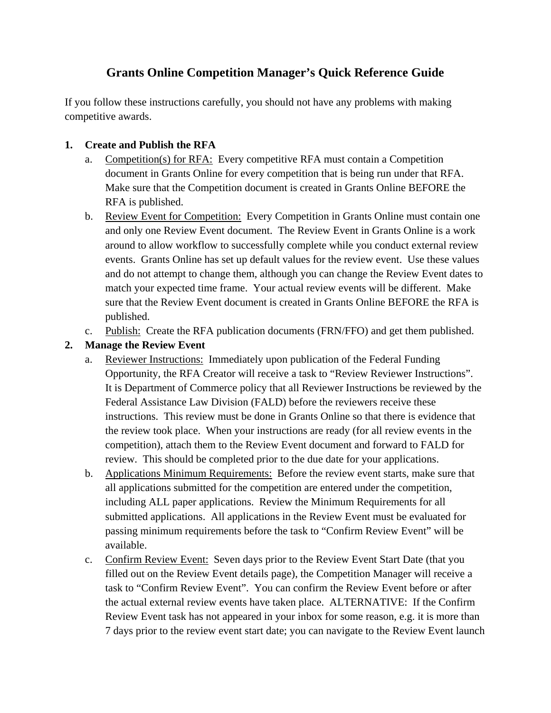# **Grants Online Competition Manager's Quick Reference Guide**

If you follow these instructions carefully, you should not have any problems with making competitive awards.

## **1. Create and Publish the RFA**

- a. Competition(s) for RFA: Every competitive RFA must contain a Competition document in Grants Online for every competition that is being run under that RFA. Make sure that the Competition document is created in Grants Online BEFORE the RFA is published.
- b. Review Event for Competition: Every Competition in Grants Online must contain one and only one Review Event document. The Review Event in Grants Online is a work around to allow workflow to successfully complete while you conduct external review events. Grants Online has set up default values for the review event. Use these values and do not attempt to change them, although you can change the Review Event dates to match your expected time frame. Your actual review events will be different. Make sure that the Review Event document is created in Grants Online BEFORE the RFA is published.
- c. Publish: Create the RFA publication documents (FRN/FFO) and get them published.

# **2. Manage the Review Event**

- a. Reviewer Instructions: Immediately upon publication of the Federal Funding Opportunity, the RFA Creator will receive a task to "Review Reviewer Instructions". It is Department of Commerce policy that all Reviewer Instructions be reviewed by the Federal Assistance Law Division (FALD) before the reviewers receive these instructions. This review must be done in Grants Online so that there is evidence that the review took place. When your instructions are ready (for all review events in the competition), attach them to the Review Event document and forward to FALD for review. This should be completed prior to the due date for your applications.
- b. Applications Minimum Requirements: Before the review event starts, make sure that all applications submitted for the competition are entered under the competition, including ALL paper applications. Review the Minimum Requirements for all submitted applications. All applications in the Review Event must be evaluated for passing minimum requirements before the task to "Confirm Review Event" will be available.
- c. Confirm Review Event: Seven days prior to the Review Event Start Date (that you filled out on the Review Event details page), the Competition Manager will receive a task to "Confirm Review Event". You can confirm the Review Event before or after the actual external review events have taken place. ALTERNATIVE: If the Confirm Review Event task has not appeared in your inbox for some reason, e.g. it is more than 7 days prior to the review event start date; you can navigate to the Review Event launch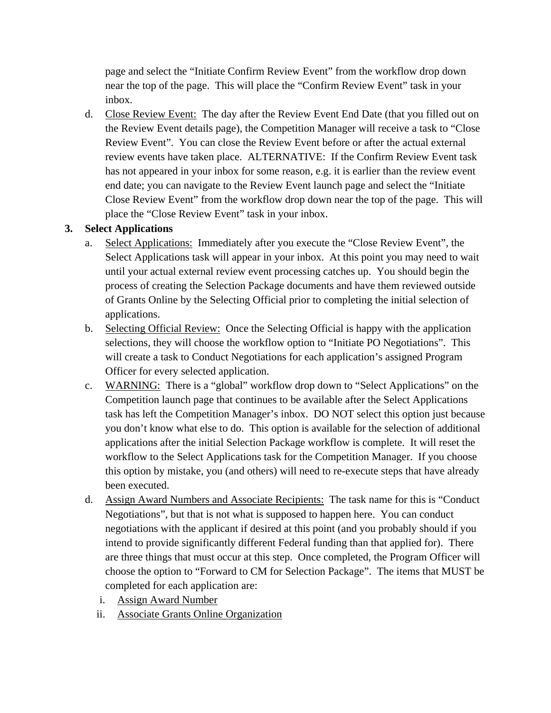page and select the "Initiate Confirm Review Event" from the workflow drop down near the top of the page. This will place the "Confirm Review Event" task in your inbox.

d. Close Review Event: The day after the Review Event End Date (that you filled out on the Review Event details page), the Competition Manager will receive a task to "Close Review Event". You can close the Review Event before or after the actual external review events have taken place. ALTERNATIVE: If the Confirm Review Event task has not appeared in your inbox for some reason, e.g. it is earlier than the review event end date; you can navigate to the Review Event launch page and select the "Initiate Close Review Event" from the workflow drop down near the top of the page. This will place the "Close Review Event" task in your inbox.

#### **3. Select Applications**

- a. Select Applications: Immediately after you execute the "Close Review Event", the Select Applications task will appear in your inbox. At this point you may need to wait until your actual external review event processing catches up. You should begin the process of creating the Selection Package documents and have them reviewed outside of Grants Online by the Selecting Official prior to completing the initial selection of applications.
- b. Selecting Official Review: Once the Selecting Official is happy with the application selections, they will choose the workflow option to "Initiate PO Negotiations". This will create a task to Conduct Negotiations for each application's assigned Program Officer for every selected application.
- c. WARNING: There is a "global" workflow drop down to "Select Applications" on the Competition launch page that continues to be available after the Select Applications task has left the Competition Manager's inbox. DO NOT select this option just because you don't know what else to do. This option is available for the selection of additional applications after the initial Selection Package workflow is complete. It will reset the workflow to the Select Applications task for the Competition Manager. If you choose this option by mistake, you (and others) will need to re-execute steps that have already been executed.
- d. Assign Award Numbers and Associate Recipients: The task name for this is "Conduct Negotiations", but that is not what is supposed to happen here. You can conduct negotiations with the applicant if desired at this point (and you probably should if you intend to provide significantly different Federal funding than that applied for). There are three things that must occur at this step. Once completed, the Program Officer will choose the option to "Forward to CM for Selection Package". The items that MUST be completed for each application are:
	- i. Assign Award Number
	- ii. Associate Grants Online Organization